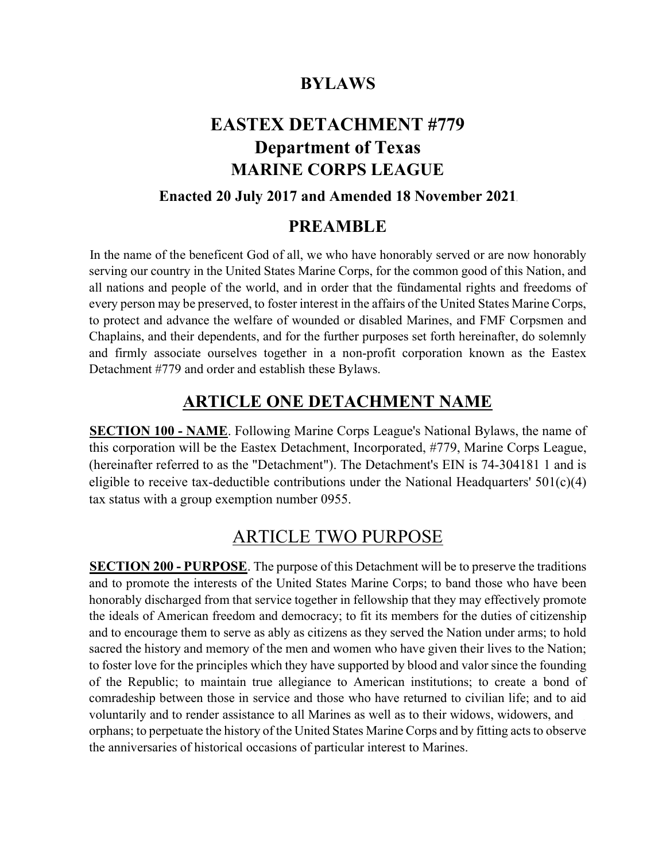## BYLAWS

## EASTEX DETACHMENT #779 Department of Texas MARINE CORPS LEAGUE

### Enacted 20 July 2017 and Amended 18 November 2021

### PREAMBLE

In the name of the beneficent God of all, we who have honorably served or are now honorably serving our country in the United States Marine Corps, for the common good of this Nation, and all nations and people of the world, and in order that the fündamental rights and freedoms of every person may be preserved, to foster interest in the affairs of the United States Marine Corps, to protect and advance the welfare of wounded or disabled Marines, and FMF Corpsmen and Chaplains, and their dependents, and for the further purposes set forth hereinafter, do solemnly and firmly associate ourselves together in a non-profit corporation known as the Eastex Detachment #779 and order and establish these Bylaws.

### ARTICLE ONE DETACHMENT NAME

SECTION 100 - NAME. Following Marine Corps League's National Bylaws, the name of this corporation will be the Eastex Detachment, Incorporated, #779, Marine Corps League, (hereinafter referred to as the "Detachment"). The Detachment's EIN is 74-304181 1 and is eligible to receive tax-deductible contributions under the National Headquarters'  $501(c)(4)$ tax status with a group exemption number 0955.

### ARTICLE TWO PURPOSE

SECTION 200 - PURPOSE. The purpose of this Detachment will be to preserve the traditions and to promote the interests of the United States Marine Corps; to band those who have been honorably discharged from that service together in fellowship that they may effectively promote the ideals of American freedom and democracy; to fit its members for the duties of citizenship and to encourage them to serve as ably as citizens as they served the Nation under arms; to hold sacred the history and memory of the men and women who have given their lives to the Nation; to foster love for the principles which they have supported by blood and valor since the founding of the Republic; to maintain true allegiance to American institutions; to create a bond of comradeship between those in service and those who have returned to civilian life; and to aid voluntarily and to render assistance to all Marines as well as to their widows, widowers, and orphans; to perpetuate the history of the United States Marine Corps and by fitting acts to observe the anniversaries of historical occasions of particular interest to Marines.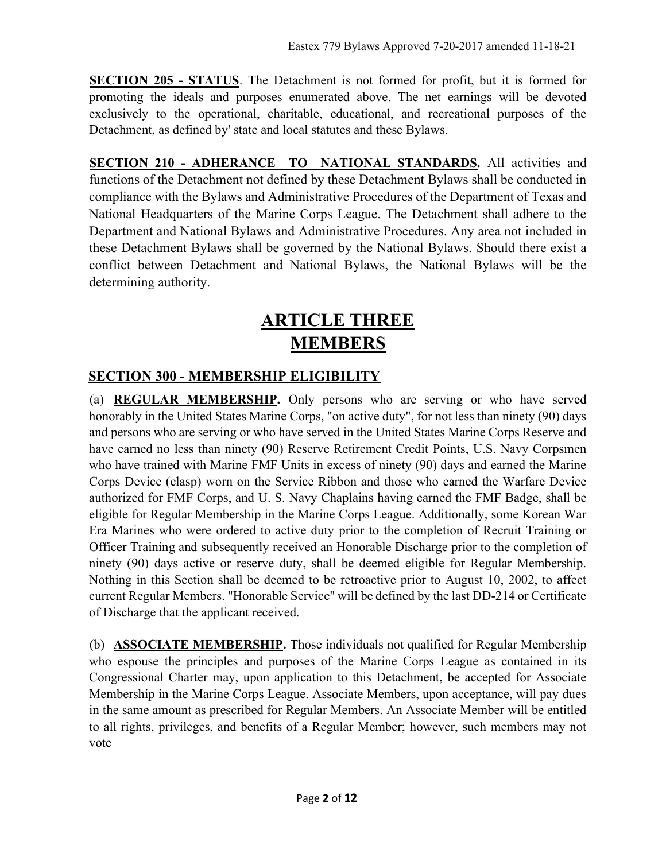SECTION 205 - STATUS. The Detachment is not formed for profit, but it is formed for promoting the ideals and purposes enumerated above. The net earnings will be devoted exclusively to the operational, charitable, educational, and recreational purposes of the Detachment, as defined by' state and local statutes and these Bylaws.

SECTION 210 - ADHERANCE TO NATIONAL STANDARDS. All activities and functions of the Detachment not defined by these Detachment Bylaws shall be conducted in compliance with the Bylaws and Administrative Procedures of the Department of Texas and National Headquarters of the Marine Corps League. The Detachment shall adhere to the Department and National Bylaws and Administrative Procedures. Any area not included in these Detachment Bylaws shall be governed by the National Bylaws. Should there exist a conflict between Detachment and National Bylaws, the National Bylaws will be the determining authority.

# ARTICLE THREE MEMBERS

### SECTION 300 - MEMBERSHIP ELIGIBILITY

(a) REGULAR MEMBERSHIP. Only persons who are serving or who have served honorably in the United States Marine Corps, "on active duty", for not less than ninety (90) days and persons who are serving or who have served in the United States Marine Corps Reserve and have earned no less than ninety (90) Reserve Retirement Credit Points, U.S. Navy Corpsmen who have trained with Marine FMF Units in excess of ninety (90) days and earned the Marine Corps Device (clasp) worn on the Service Ribbon and those who earned the Warfare Device authorized for FMF Corps, and U. S. Navy Chaplains having earned the FMF Badge, shall be eligible for Regular Membership in the Marine Corps League. Additionally, some Korean War Era Marines who were ordered to active duty prior to the completion of Recruit Training or Officer Training and subsequently received an Honorable Discharge prior to the completion of ninety (90) days active or reserve duty, shall be deemed eligible for Regular Membership. Nothing in this Section shall be deemed to be retroactive prior to August 10, 2002, to affect current Regular Members. "Honorable Service" will be defined by the last DD-214 or Certificate of Discharge that the applicant received.

(b) ASSOCIATE MEMBERSHIP. Those individuals not qualified for Regular Membership who espouse the principles and purposes of the Marine Corps League as contained in its Congressional Charter may, upon application to this Detachment, be accepted for Associate Membership in the Marine Corps League. Associate Members, upon acceptance, will pay dues in the same amount as prescribed for Regular Members. An Associate Member will be entitled to all rights, privileges, and benefits of a Regular Member; however, such members may not vote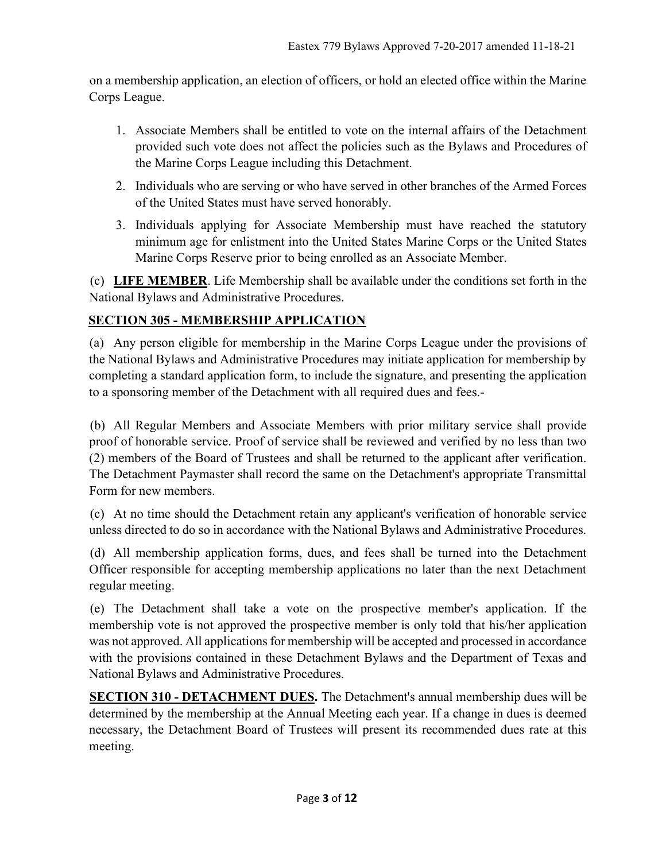on a membership application, an election of officers, or hold an elected office within the Marine Corps League.

- 1. Associate Members shall be entitled to vote on the internal affairs of the Detachment provided such vote does not affect the policies such as the Bylaws and Procedures of the Marine Corps League including this Detachment.
- 2. Individuals who are serving or who have served in other branches of the Armed Forces of the United States must have served honorably.
- 3. Individuals applying for Associate Membership must have reached the statutory minimum age for enlistment into the United States Marine Corps or the United States Marine Corps Reserve prior to being enrolled as an Associate Member.

(c) LIFE MEMBER. Life Membership shall be available under the conditions set forth in the National Bylaws and Administrative Procedures.

### SECTION 305 - MEMBERSHIP APPLICATION

(a) Any person eligible for membership in the Marine Corps League under the provisions of the National Bylaws and Administrative Procedures may initiate application for membership by completing a standard application form, to include the signature, and presenting the application to a sponsoring member of the Detachment with all required dues and fees.-

(b) All Regular Members and Associate Members with prior military service shall provide proof of honorable service. Proof of service shall be reviewed and verified by no less than two (2) members of the Board of Trustees and shall be returned to the applicant after verification. The Detachment Paymaster shall record the same on the Detachment's appropriate Transmittal Form for new members.

(c) At no time should the Detachment retain any applicant's verification of honorable service unless directed to do so in accordance with the National Bylaws and Administrative Procedures.

(d) All membership application forms, dues, and fees shall be turned into the Detachment Officer responsible for accepting membership applications no later than the next Detachment regular meeting.

(e) The Detachment shall take a vote on the prospective member's application. If the membership vote is not approved the prospective member is only told that his/her application was not approved. All applications for membership will be accepted and processed in accordance with the provisions contained in these Detachment Bylaws and the Department of Texas and National Bylaws and Administrative Procedures.

SECTION 310 - DETACHMENT DUES. The Detachment's annual membership dues will be determined by the membership at the Annual Meeting each year. If a change in dues is deemed necessary, the Detachment Board of Trustees will present its recommended dues rate at this meeting.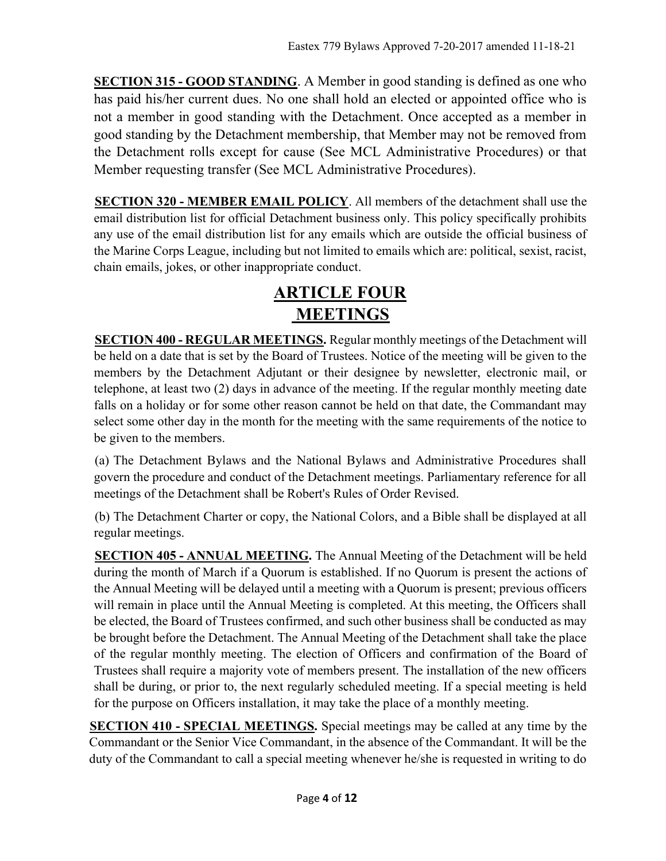SECTION 315 - GOOD STANDING. A Member in good standing is defined as one who has paid his/her current dues. No one shall hold an elected or appointed office who is not a member in good standing with the Detachment. Once accepted as a member in good standing by the Detachment membership, that Member may not be removed from the Detachment rolls except for cause (See MCL Administrative Procedures) or that Member requesting transfer (See MCL Administrative Procedures).

SECTION 320 - MEMBER EMAIL POLICY. All members of the detachment shall use the email distribution list for official Detachment business only. This policy specifically prohibits any use of the email distribution list for any emails which are outside the official business of the Marine Corps League, including but not limited to emails which are: political, sexist, racist, chain emails, jokes, or other inappropriate conduct.

# ARTICLE FOUR MEETINGS

SECTION 400 - REGULAR MEETINGS. Regular monthly meetings of the Detachment will be held on a date that is set by the Board of Trustees. Notice of the meeting will be given to the members by the Detachment Adjutant or their designee by newsletter, electronic mail, or telephone, at least two (2) days in advance of the meeting. If the regular monthly meeting date falls on a holiday or for some other reason cannot be held on that date, the Commandant may select some other day in the month for the meeting with the same requirements of the notice to be given to the members.

(a) The Detachment Bylaws and the National Bylaws and Administrative Procedures shall govern the procedure and conduct of the Detachment meetings. Parliamentary reference for all meetings of the Detachment shall be Robert's Rules of Order Revised.

(b) The Detachment Charter or copy, the National Colors, and a Bible shall be displayed at all regular meetings.

SECTION 405 - ANNUAL MEETING. The Annual Meeting of the Detachment will be held during the month of March if a Quorum is established. If no Quorum is present the actions of the Annual Meeting will be delayed until a meeting with a Quorum is present; previous officers will remain in place until the Annual Meeting is completed. At this meeting, the Officers shall be elected, the Board of Trustees confirmed, and such other business shall be conducted as may be brought before the Detachment. The Annual Meeting of the Detachment shall take the place of the regular monthly meeting. The election of Officers and confirmation of the Board of Trustees shall require a majority vote of members present. The installation of the new officers shall be during, or prior to, the next regularly scheduled meeting. If a special meeting is held for the purpose on Officers installation, it may take the place of a monthly meeting.

SECTION 410 - SPECIAL MEETINGS. Special meetings may be called at any time by the Commandant or the Senior Vice Commandant, in the absence of the Commandant. It will be the duty of the Commandant to call a special meeting whenever he/she is requested in writing to do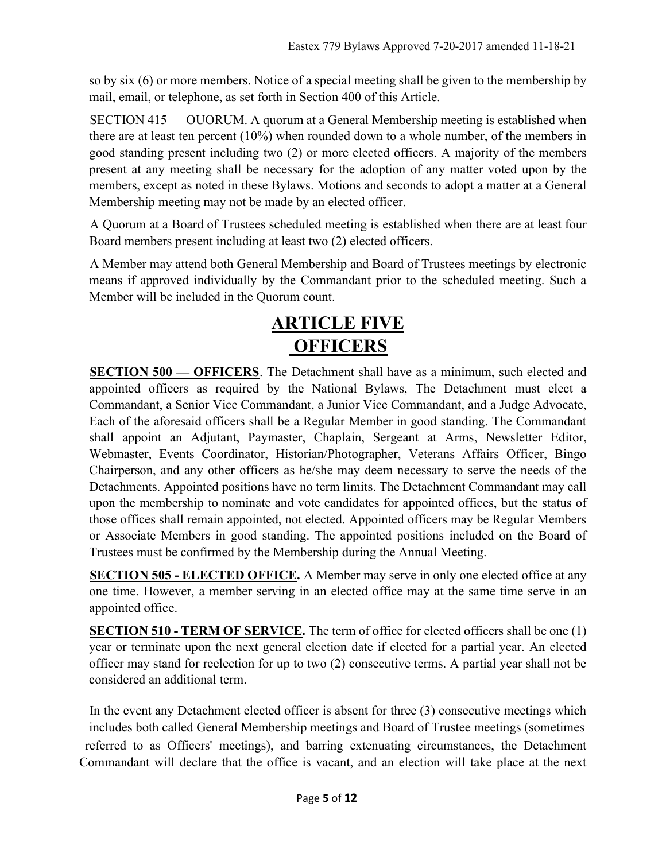so by six (6) or more members. Notice of a special meeting shall be given to the membership by mail, email, or telephone, as set forth in Section 400 of this Article.

SECTION 415 — OUORUM. A quorum at a General Membership meeting is established when there are at least ten percent (10%) when rounded down to a whole number, of the members in good standing present including two (2) or more elected officers. A majority of the members present at any meeting shall be necessary for the adoption of any matter voted upon by the members, except as noted in these Bylaws. Motions and seconds to adopt a matter at a General Membership meeting may not be made by an elected officer.

A Quorum at a Board of Trustees scheduled meeting is established when there are at least four Board members present including at least two (2) elected officers.

A Member may attend both General Membership and Board of Trustees meetings by electronic means if approved individually by the Commandant prior to the scheduled meeting. Such a Member will be included in the Quorum count.

# ARTICLE FIVE **OFFICERS**

SECTION 500 — OFFICERS. The Detachment shall have as a minimum, such elected and appointed officers as required by the National Bylaws, The Detachment must elect a Commandant, a Senior Vice Commandant, a Junior Vice Commandant, and a Judge Advocate, Each of the aforesaid officers shall be a Regular Member in good standing. The Commandant shall appoint an Adjutant, Paymaster, Chaplain, Sergeant at Arms, Newsletter Editor, Webmaster, Events Coordinator, Historian/Photographer, Veterans Affairs Officer, Bingo Chairperson, and any other officers as he/she may deem necessary to serve the needs of the Detachments. Appointed positions have no term limits. The Detachment Commandant may call upon the membership to nominate and vote candidates for appointed offices, but the status of those offices shall remain appointed, not elected. Appointed officers may be Regular Members or Associate Members in good standing. The appointed positions included on the Board of Trustees must be confirmed by the Membership during the Annual Meeting.

**SECTION 505 - ELECTED OFFICE.** A Member may serve in only one elected office at any one time. However, a member serving in an elected office may at the same time serve in an appointed office.

**SECTION 510 - TERM OF SERVICE.** The term of office for elected officers shall be one (1) year or terminate upon the next general election date if elected for a partial year. An elected officer may stand for reelection for up to two (2) consecutive terms. A partial year shall not be considered an additional term.

In the event any Detachment elected officer is absent for three (3) consecutive meetings which includes both called General Membership meetings and Board of Trustee meetings (sometimes referred to as Officers' meetings), and barring extenuating circumstances, the Detachment Commandant will declare that the office is vacant, and an election will take place at the next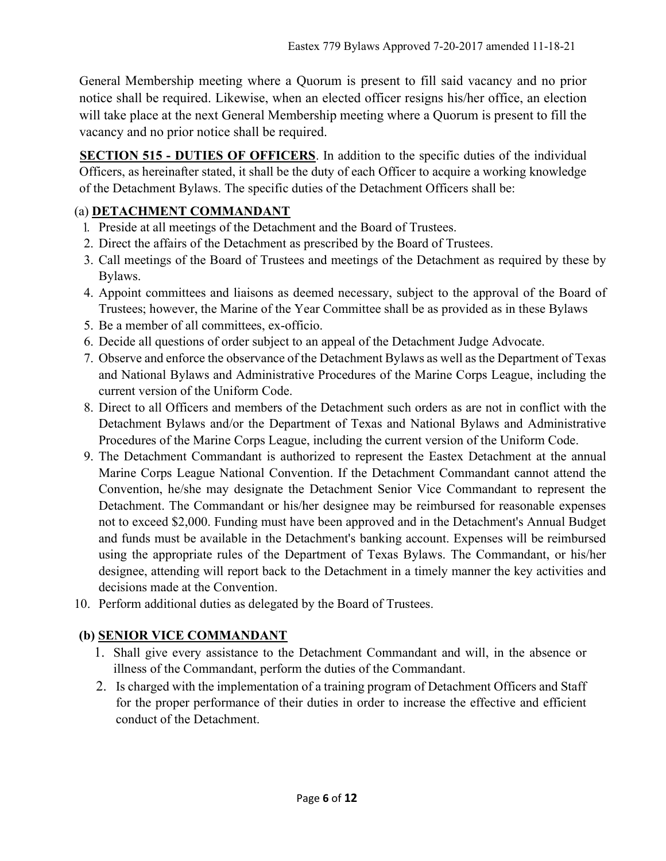General Membership meeting where a Quorum is present to fill said vacancy and no prior notice shall be required. Likewise, when an elected officer resigns his/her office, an election will take place at the next General Membership meeting where a Quorum is present to fill the vacancy and no prior notice shall be required.

SECTION 515 - DUTIES OF OFFICERS. In addition to the specific duties of the individual Officers, as hereinafter stated, it shall be the duty of each Officer to acquire a working knowledge of the Detachment Bylaws. The specific duties of the Detachment Officers shall be:

### (a) DETACHMENT COMMANDANT

- . Preside at all meetings of the Detachment and the Board of Trustees.
- 2. Direct the affairs of the Detachment as prescribed by the Board of Trustees.
- 3. Call meetings of the Board of Trustees and meetings of the Detachment as required by these by Bylaws.
- 4. Appoint committees and liaisons as deemed necessary, subject to the approval of the Board of Trustees; however, the Marine of the Year Committee shall be as provided as in these Bylaws
- 5. Be a member of all committees, ex-officio.
- 6. Decide all questions of order subject to an appeal of the Detachment Judge Advocate.
- 7. Observe and enforce the observance of the Detachment Bylaws as well as the Department of Texas and National Bylaws and Administrative Procedures of the Marine Corps League, including the current version of the Uniform Code.
- 8. Direct to all Officers and members of the Detachment such orders as are not in conflict with the Detachment Bylaws and/or the Department of Texas and National Bylaws and Administrative Procedures of the Marine Corps League, including the current version of the Uniform Code.
- 9. The Detachment Commandant is authorized to represent the Eastex Detachment at the annual Marine Corps League National Convention. If the Detachment Commandant cannot attend the Convention, he/she may designate the Detachment Senior Vice Commandant to represent the Detachment. The Commandant or his/her designee may be reimbursed for reasonable expenses not to exceed \$2,000. Funding must have been approved and in the Detachment's Annual Budget and funds must be available in the Detachment's banking account. Expenses will be reimbursed using the appropriate rules of the Department of Texas Bylaws. The Commandant, or his/her designee, attending will report back to the Detachment in a timely manner the key activities and decisions made at the Convention.
- 10. Perform additional duties as delegated by the Board of Trustees.

### (b) SENIOR VICE COMMANDANT

- 1. Shall give every assistance to the Detachment Commandant and will, in the absence or illness of the Commandant, perform the duties of the Commandant.
- 2. Is charged with the implementation of a training program of Detachment Officers and Staff for the proper performance of their duties in order to increase the effective and efficient conduct of the Detachment.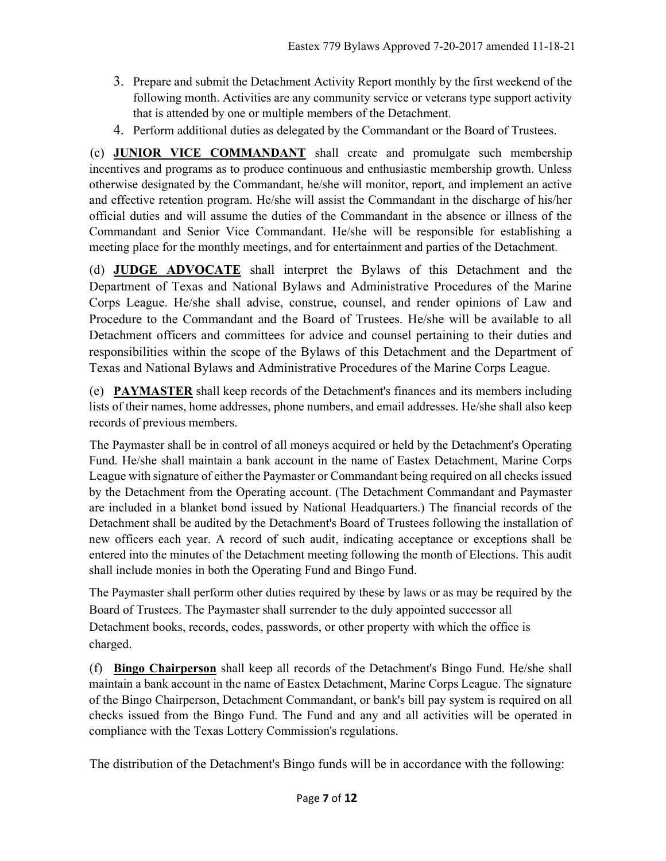- 3. Prepare and submit the Detachment Activity Report monthly by the first weekend of the following month. Activities are any community service or veterans type support activity that is attended by one or multiple members of the Detachment.
- 4. Perform additional duties as delegated by the Commandant or the Board of Trustees.

(c) JUNIOR VICE COMMANDANT shall create and promulgate such membership incentives and programs as to produce continuous and enthusiastic membership growth. Unless otherwise designated by the Commandant, he/she will monitor, report, and implement an active and effective retention program. He/she will assist the Commandant in the discharge of his/her official duties and will assume the duties of the Commandant in the absence or illness of the Commandant and Senior Vice Commandant. He/she will be responsible for establishing a meeting place for the monthly meetings, and for entertainment and parties of the Detachment.

(d) JUDGE ADVOCATE shall interpret the Bylaws of this Detachment and the Department of Texas and National Bylaws and Administrative Procedures of the Marine Corps League. He/she shall advise, construe, counsel, and render opinions of Law and Procedure to the Commandant and the Board of Trustees. He/she will be available to all Detachment officers and committees for advice and counsel pertaining to their duties and responsibilities within the scope of the Bylaws of this Detachment and the Department of Texas and National Bylaws and Administrative Procedures of the Marine Corps League.

(e) PAYMASTER shall keep records of the Detachment's finances and its members including lists of their names, home addresses, phone numbers, and email addresses. He/she shall also keep records of previous members.

The Paymaster shall be in control of all moneys acquired or held by the Detachment's Operating Fund. He/she shall maintain a bank account in the name of Eastex Detachment, Marine Corps League with signature of either the Paymaster or Commandant being required on all checks issued by the Detachment from the Operating account. (The Detachment Commandant and Paymaster are included in a blanket bond issued by National Headquarters.) The financial records of the Detachment shall be audited by the Detachment's Board of Trustees following the installation of new officers each year. A record of such audit, indicating acceptance or exceptions shall be entered into the minutes of the Detachment meeting following the month of Elections. This audit shall include monies in both the Operating Fund and Bingo Fund.

The Paymaster shall perform other duties required by these by laws or as may be required by the Board of Trustees. The Paymaster shall surrender to the duly appointed successor all Detachment books, records, codes, passwords, or other property with which the office is charged.

(f) Bingo Chairperson shall keep all records of the Detachment's Bingo Fund. He/she shall maintain a bank account in the name of Eastex Detachment, Marine Corps League. The signature of the Bingo Chairperson, Detachment Commandant, or bank's bill pay system is required on all checks issued from the Bingo Fund. The Fund and any and all activities will be operated in compliance with the Texas Lottery Commission's regulations.

The distribution of the Detachment's Bingo funds will be in accordance with the following: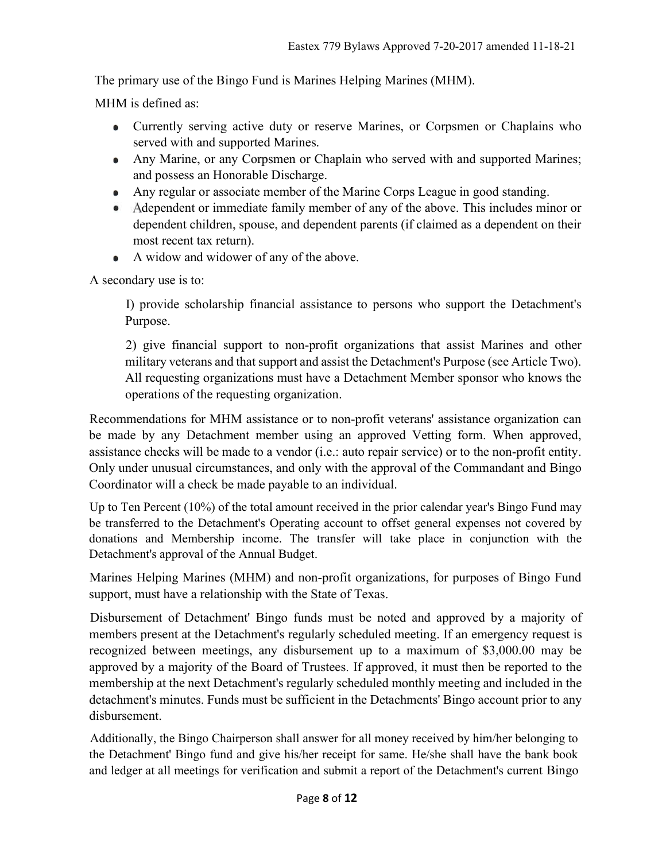The primary use of the Bingo Fund is Marines Helping Marines (MHM).

MHM is defined as:

- Currently serving active duty or reserve Marines, or Corpsmen or Chaplains who served with and supported Marines.
- Any Marine, or any Corpsmen or Chaplain who served with and supported Marines; and possess an Honorable Discharge.
- Any regular or associate member of the Marine Corps League in good standing.
- Adependent or immediate family member of any of the above. This includes minor or dependent children, spouse, and dependent parents (if claimed as a dependent on their most recent tax return).
- A widow and widower of any of the above.  $\bullet$

A secondary use is to:

I) provide scholarship financial assistance to persons who support the Detachment's Purpose.

2) give financial support to non-profit organizations that assist Marines and other military veterans and that support and assist the Detachment's Purpose (see Article Two). All requesting organizations must have a Detachment Member sponsor who knows the operations of the requesting organization.

Recommendations for MHM assistance or to non-profit veterans' assistance organization can be made by any Detachment member using an approved Vetting form. When approved, assistance checks will be made to a vendor (i.e.: auto repair service) or to the non-profit entity. Only under unusual circumstances, and only with the approval of the Commandant and Bingo Coordinator will a check be made payable to an individual.

Up to Ten Percent (10%) of the total amount received in the prior calendar year's Bingo Fund may be transferred to the Detachment's Operating account to offset general expenses not covered by donations and Membership income. The transfer will take place in conjunction with the Detachment's approval of the Annual Budget.

Marines Helping Marines (MHM) and non-profit organizations, for purposes of Bingo Fund support, must have a relationship with the State of Texas.

Disbursement of Detachment' Bingo funds must be noted and approved by a majority of members present at the Detachment's regularly scheduled meeting. If an emergency request is recognized between meetings, any disbursement up to a maximum of \$3,000.00 may be approved by a majority of the Board of Trustees. If approved, it must then be reported to the membership at the next Detachment's regularly scheduled monthly meeting and included in the detachment's minutes. Funds must be sufficient in the Detachments' Bingo account prior to any disbursement.

Additionally, the Bingo Chairperson shall answer for all money received by him/her belonging to the Detachment' Bingo fund and give his/her receipt for same. He/she shall have the bank book and ledger at all meetings for verification and submit a report of the Detachment's current Bingo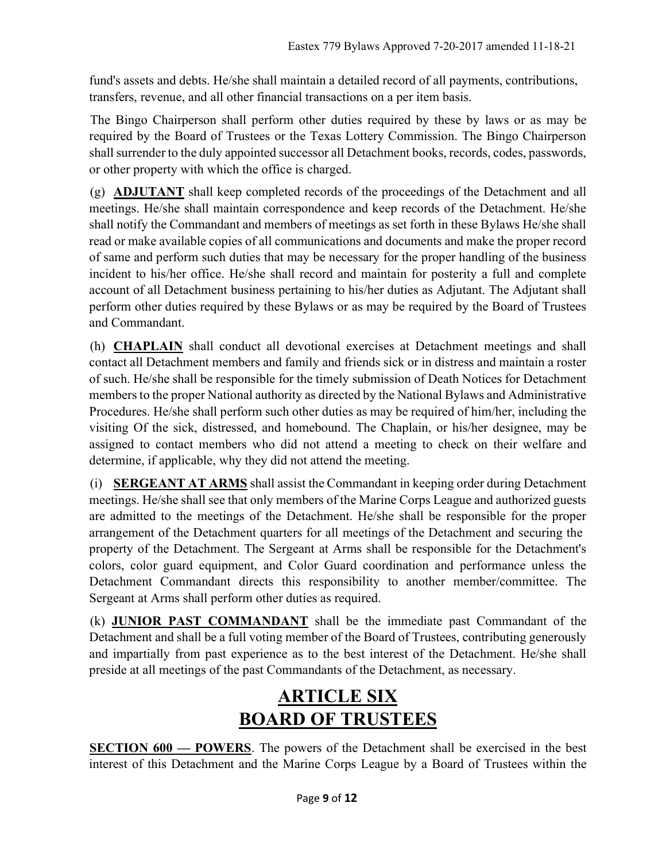fund's assets and debts. He/she shall maintain a detailed record of all payments, contributions, transfers, revenue, and all other financial transactions on a per item basis.

The Bingo Chairperson shall perform other duties required by these by laws or as may be required by the Board of Trustees or the Texas Lottery Commission. The Bingo Chairperson shall surrender to the duly appointed successor all Detachment books, records, codes, passwords, or other property with which the office is charged.

(g) ADJUTANT shall keep completed records of the proceedings of the Detachment and all meetings. He/she shall maintain correspondence and keep records of the Detachment. He/she shall notify the Commandant and members of meetings as set forth in these Bylaws He/she shall read or make available copies of all communications and documents and make the proper record of same and perform such duties that may be necessary for the proper handling of the business incident to his/her office. He/she shall record and maintain for posterity a full and complete account of all Detachment business pertaining to his/her duties as Adjutant. The Adjutant shall perform other duties required by these Bylaws or as may be required by the Board of Trustees and Commandant.

(h) CHAPLAIN shall conduct all devotional exercises at Detachment meetings and shall contact all Detachment members and family and friends sick or in distress and maintain a roster of such. He/she shall be responsible for the timely submission of Death Notices for Detachment members to the proper National authority as directed by the National Bylaws and Administrative Procedures. He/she shall perform such other duties as may be required of him/her, including the visiting Of the sick, distressed, and homebound. The Chaplain, or his/her designee, may be assigned to contact members who did not attend a meeting to check on their welfare and determine, if applicable, why they did not attend the meeting.

(i) SERGEANT AT ARMS shall assist the Commandant in keeping order during Detachment meetings. He/she shall see that only members of the Marine Corps League and authorized guests are admitted to the meetings of the Detachment. He/she shall be responsible for the proper arrangement of the Detachment quarters for all meetings of the Detachment and securing the property of the Detachment. The Sergeant at Arms shall be responsible for the Detachment's colors, color guard equipment, and Color Guard coordination and performance unless the Detachment Commandant directs this responsibility to another member/committee. The Sergeant at Arms shall perform other duties as required.

(k) JUNIOR PAST COMMANDANT shall be the immediate past Commandant of the Detachment and shall be a full voting member of the Board of Trustees, contributing generously and impartially from past experience as to the best interest of the Detachment. He/she shall preside at all meetings of the past Commandants of the Detachment, as necessary.

# ARTICLE SIX BOARD OF TRUSTEES

SECTION 600 — POWERS. The powers of the Detachment shall be exercised in the best interest of this Detachment and the Marine Corps League by a Board of Trustees within the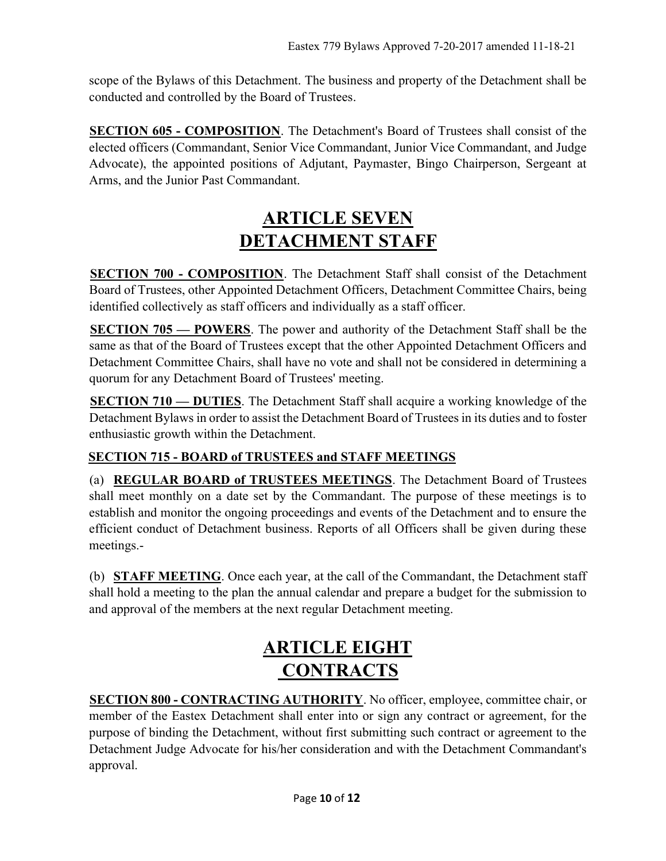scope of the Bylaws of this Detachment. The business and property of the Detachment shall be conducted and controlled by the Board of Trustees.

SECTION 605 - COMPOSITION. The Detachment's Board of Trustees shall consist of the elected officers (Commandant, Senior Vice Commandant, Junior Vice Commandant, and Judge Advocate), the appointed positions of Adjutant, Paymaster, Bingo Chairperson, Sergeant at Arms, and the Junior Past Commandant.

# ARTICLE SEVEN DETACHMENT STAFF

SECTION 700 - COMPOSITION. The Detachment Staff shall consist of the Detachment Board of Trustees, other Appointed Detachment Officers, Detachment Committee Chairs, being identified collectively as staff officers and individually as a staff officer.

SECTION 705 — POWERS. The power and authority of the Detachment Staff shall be the same as that of the Board of Trustees except that the other Appointed Detachment Officers and Detachment Committee Chairs, shall have no vote and shall not be considered in determining a quorum for any Detachment Board of Trustees' meeting.

SECTION 710 — DUTIES. The Detachment Staff shall acquire a working knowledge of the Detachment Bylaws in order to assist the Detachment Board of Trustees in its duties and to foster enthusiastic growth within the Detachment.

### SECTION 715 - BOARD of TRUSTEES and STAFF MEETINGS

(a) REGULAR BOARD of TRUSTEES MEETINGS. The Detachment Board of Trustees shall meet monthly on a date set by the Commandant. The purpose of these meetings is to establish and monitor the ongoing proceedings and events of the Detachment and to ensure the efficient conduct of Detachment business. Reports of all Officers shall be given during these meetings.-

(b) STAFF MEETING. Once each year, at the call of the Commandant, the Detachment staff shall hold a meeting to the plan the annual calendar and prepare a budget for the submission to and approval of the members at the next regular Detachment meeting.

# ARTICLE EIGHT **CONTRACTS**

SECTION 800 - CONTRACTING AUTHORITY. No officer, employee, committee chair, or member of the Eastex Detachment shall enter into or sign any contract or agreement, for the purpose of binding the Detachment, without first submitting such contract or agreement to the Detachment Judge Advocate for his/her consideration and with the Detachment Commandant's approval.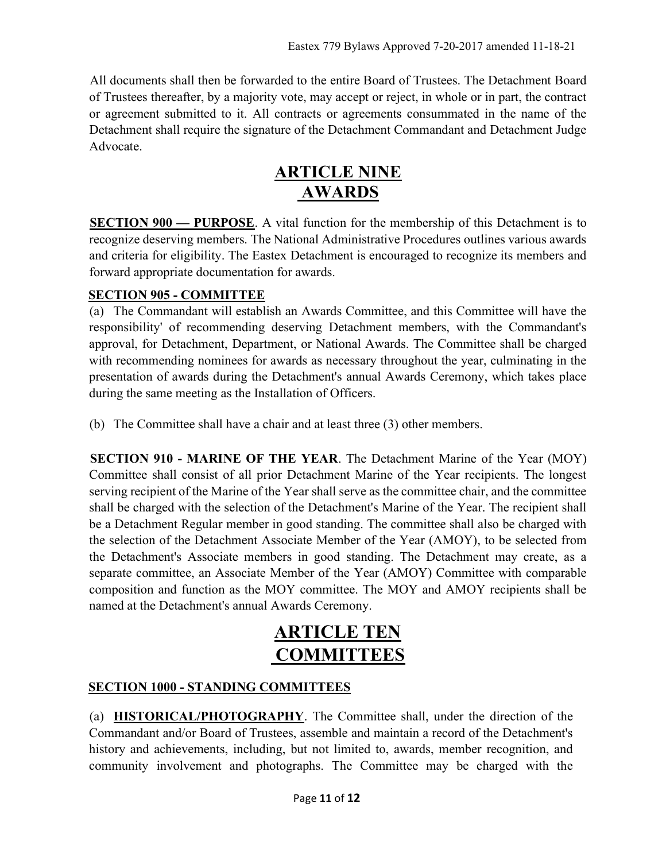All documents shall then be forwarded to the entire Board of Trustees. The Detachment Board of Trustees thereafter, by a majority vote, may accept or reject, in whole or in part, the contract or agreement submitted to it. All contracts or agreements consummated in the name of the Detachment shall require the signature of the Detachment Commandant and Detachment Judge Advocate.

## ARTICLE NINE AWARDS

SECTION 900 — PURPOSE. A vital function for the membership of this Detachment is to recognize deserving members. The National Administrative Procedures outlines various awards and criteria for eligibility. The Eastex Detachment is encouraged to recognize its members and forward appropriate documentation for awards.

### SECTION 905 - COMMITTEE

(a) The Commandant will establish an Awards Committee, and this Committee will have the responsibility' of recommending deserving Detachment members, with the Commandant's approval, for Detachment, Department, or National Awards. The Committee shall be charged with recommending nominees for awards as necessary throughout the year, culminating in the presentation of awards during the Detachment's annual Awards Ceremony, which takes place during the same meeting as the Installation of Officers.

(b) The Committee shall have a chair and at least three (3) other members.

SECTION 910 - MARINE OF THE YEAR. The Detachment Marine of the Year (MOY) Committee shall consist of all prior Detachment Marine of the Year recipients. The longest serving recipient of the Marine of the Year shall serve as the committee chair, and the committee shall be charged with the selection of the Detachment's Marine of the Year. The recipient shall be a Detachment Regular member in good standing. The committee shall also be charged with the selection of the Detachment Associate Member of the Year (AMOY), to be selected from the Detachment's Associate members in good standing. The Detachment may create, as a separate committee, an Associate Member of the Year (AMOY) Committee with comparable composition and function as the MOY committee. The MOY and AMOY recipients shall be named at the Detachment's annual Awards Ceremony.

# ARTICLE TEN **COMMITTEES**

### SECTION 1000 - STANDING COMMITTEES

(a) HISTORICAL/PHOTOGRAPHY. The Committee shall, under the direction of the Commandant and/or Board of Trustees, assemble and maintain a record of the Detachment's history and achievements, including, but not limited to, awards, member recognition, and community involvement and photographs. The Committee may be charged with the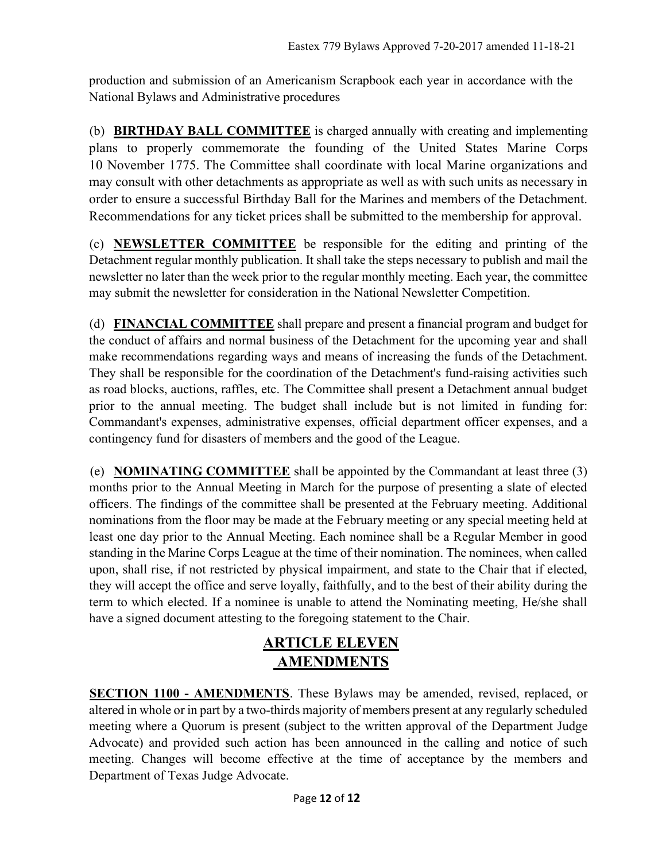production and submission of an Americanism Scrapbook each year in accordance with the National Bylaws and Administrative procedures

(b) BIRTHDAY BALL COMMITTEE is charged annually with creating and implementing plans to properly commemorate the founding of the United States Marine Corps 10 November 1775. The Committee shall coordinate with local Marine organizations and may consult with other detachments as appropriate as well as with such units as necessary in order to ensure a successful Birthday Ball for the Marines and members of the Detachment. Recommendations for any ticket prices shall be submitted to the membership for approval.

(c) NEWSLETTER COMMITTEE be responsible for the editing and printing of the Detachment regular monthly publication. It shall take the steps necessary to publish and mail the newsletter no later than the week prior to the regular monthly meeting. Each year, the committee may submit the newsletter for consideration in the National Newsletter Competition.

(d) FINANCIAL COMMITTEE shall prepare and present a financial program and budget for the conduct of affairs and normal business of the Detachment for the upcoming year and shall make recommendations regarding ways and means of increasing the funds of the Detachment. They shall be responsible for the coordination of the Detachment's fund-raising activities such as road blocks, auctions, raffles, etc. The Committee shall present a Detachment annual budget prior to the annual meeting. The budget shall include but is not limited in funding for: Commandant's expenses, administrative expenses, official department officer expenses, and a contingency fund for disasters of members and the good of the League.

(e) **NOMINATING COMMITTEE** shall be appointed by the Commandant at least three  $(3)$ months prior to the Annual Meeting in March for the purpose of presenting a slate of elected officers. The findings of the committee shall be presented at the February meeting. Additional nominations from the floor may be made at the February meeting or any special meeting held at least one day prior to the Annual Meeting. Each nominee shall be a Regular Member in good standing in the Marine Corps League at the time of their nomination. The nominees, when called upon, shall rise, if not restricted by physical impairment, and state to the Chair that if elected, they will accept the office and serve loyally, faithfully, and to the best of their ability during the term to which elected. If a nominee is unable to attend the Nominating meeting, He/she shall have a signed document attesting to the foregoing statement to the Chair.

## ARTICLE ELEVEN **AMENDMENTS**

SECTION 1100 - AMENDMENTS. These Bylaws may be amended, revised, replaced, or altered in whole or in part by a two-thirds majority of members present at any regularly scheduled meeting where a Quorum is present (subject to the written approval of the Department Judge Advocate) and provided such action has been announced in the calling and notice of such meeting. Changes will become effective at the time of acceptance by the members and Department of Texas Judge Advocate.